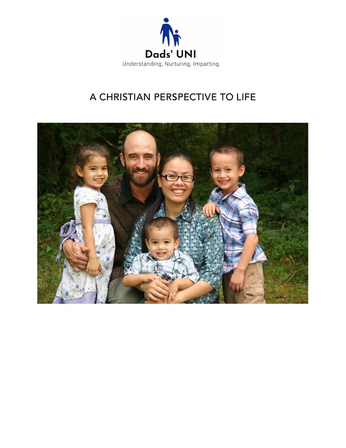

# A CHRISTIAN PERSPECTIVE TO LIFE

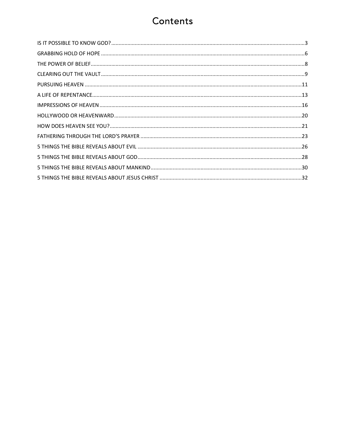# Contents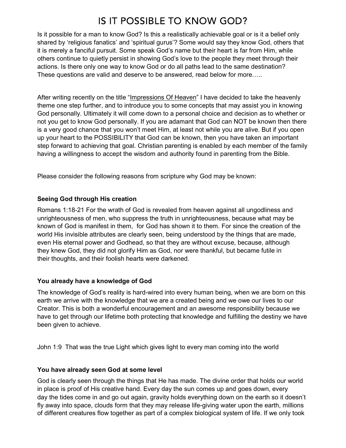# IS IT POSSIBLE TO KNOW GOD?

Is it possible for a man to know God? Is this a realistically achievable goal or is it a belief only shared by 'religious fanatics' and 'spiritual gurus'? Some would say they know God, others that it is merely a fanciful pursuit. Some speak God's name but their heart is far from Him, while others continue to quietly persist in showing God's love to the people they meet through their actions. Is there only one way to know God or do all paths lead to the same destination? These questions are valid and deserve to be answered, read below for more…..

After writing recently on the title "Impressions Of Heaven" I have decided to take the heavenly theme one step further, and to introduce you to some concepts that may assist you in knowing God personally. Ultimately it will come down to a personal choice and decision as to whether or not you get to know God personally. If you are adamant that God can NOT be known then there is a very good chance that you won't meet Him, at least not while you are alive. But if you open up your heart to the POSSIBILITY that God can be known, then you have taken an important step forward to achieving that goal. Christian parenting is enabled by each member of the family having a willingness to accept the wisdom and authority found in parenting from the Bible.

Please consider the following reasons from scripture why God may be known:

#### Seeing God through His creation

Romans 1:18-21 For the wrath of God is revealed from heaven against all ungodliness and unrighteousness of men, who suppress the truth in unrighteousness, because what may be known of God is manifest in them, for God has shown it to them. For since the creation of the world His invisible attributes are clearly seen, being understood by the things that are made, even His eternal power and Godhead, so that they are without excuse, because, although they knew God, they did not glorify Him as God, nor were thankful, but became futile in their thoughts, and their foolish hearts were darkened.

### You already have a knowledge of God

The knowledge of God's reality is hard-wired into every human being, when we are born on this earth we arrive with the knowledge that we are a created being and we owe our lives to our Creator. This is both a wonderful encouragement and an awesome responsibility because we have to get through our lifetime both protecting that knowledge and fulfilling the destiny we have been given to achieve.

John 1:9 That was the true Light which gives light to every man coming into the world

#### You have already seen God at some level

God is clearly seen through the things that He has made. The divine order that holds our world in place is proof of His creative hand. Every day the sun comes up and goes down, every day the tides come in and go out again, gravity holds everything down on the earth so it doesn't fly away into space, clouds form that they may release life-giving water upon the earth, millions of different creatures flow together as part of a complex biological system of life. If we only took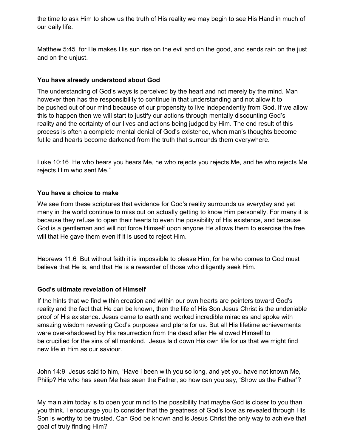the time to ask Him to show us the truth of His reality we may begin to see His Hand in much of our daily life.

Matthew 5:45 for He makes His sun rise on the evil and on the good, and sends rain on the just and on the unjust.

#### You have already understood about God

The understanding of God's ways is perceived by the heart and not merely by the mind. Man however then has the responsibility to continue in that understanding and not allow it to be pushed out of our mind because of our propensity to live independently from God. If we allow this to happen then we will start to justify our actions through mentally discounting God's reality and the certainty of our lives and actions being judged by Him. The end result of this process is often a complete mental denial of God's existence, when man's thoughts become futile and hearts become darkened from the truth that surrounds them everywhere.

Luke 10:16 He who hears you hears Me, he who rejects you rejects Me, and he who rejects Me rejects Him who sent Me."

#### You have a choice to make

We see from these scriptures that evidence for God's reality surrounds us everyday and yet many in the world continue to miss out on actually getting to know Him personally. For many it is because they refuse to open their hearts to even the possibility of His existence, and because God is a gentleman and will not force Himself upon anyone He allows them to exercise the free will that He gave them even if it is used to reject Him.

Hebrews 11:6 But without faith it is impossible to please Him, for he who comes to God must believe that He is, and that He is a rewarder of those who diligently seek Him.

### God's ultimate revelation of Himself

If the hints that we find within creation and within our own hearts are pointers toward God's reality and the fact that He can be known, then the life of His Son Jesus Christ is the undeniable proof of His existence. Jesus came to earth and worked incredible miracles and spoke with amazing wisdom revealing God's purposes and plans for us. But all His lifetime achievements were over-shadowed by His resurrection from the dead after He allowed Himself to be crucified for the sins of all mankind. Jesus laid down His own life for us that we might find new life in Him as our saviour.

John 14:9 Jesus said to him, "Have I been with you so long, and yet you have not known Me, Philip? He who has seen Me has seen the Father; so how can you say, 'Show us the Father'?

My main aim today is to open your mind to the possibility that maybe God is closer to you than you think. I encourage you to consider that the greatness of God's love as revealed through His Son is worthy to be trusted. Can God be known and is Jesus Christ the only way to achieve that goal of truly finding Him?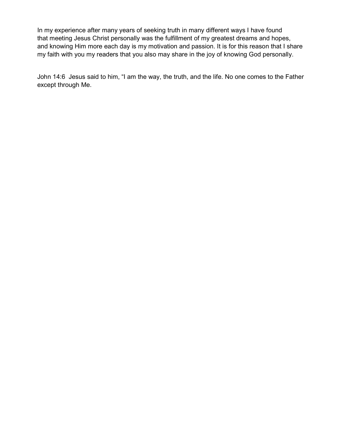In my experience after many years of seeking truth in many different ways I have found that meeting Jesus Christ personally was the fulfillment of my greatest dreams and hopes, and knowing Him more each day is my motivation and passion. It is for this reason that I share my faith with you my readers that you also may share in the joy of knowing God personally.

John 14:6 Jesus said to him, "I am the way, the truth, and the life. No one comes to the Father except through Me.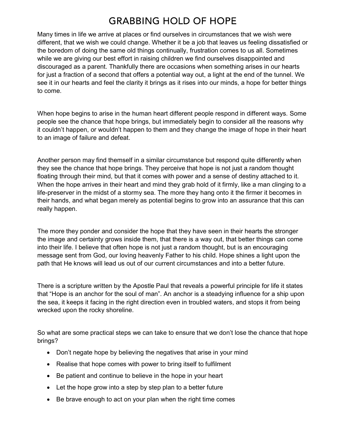## **GRABBING HOLD OF HOPE**

Many times in life we arrive at places or find ourselves in circumstances that we wish were different, that we wish we could change. Whether it be a job that leaves us feeling dissatisfied or the boredom of doing the same old things continually, frustration comes to us all. Sometimes while we are giving our best effort in raising children we find ourselves disappointed and discouraged as a parent. Thankfully there are occasions when something arises in our hearts for just a fraction of a second that offers a potential way out, a light at the end of the tunnel. We see it in our hearts and feel the clarity it brings as it rises into our minds, a hope for better things to come.

When hope begins to arise in the human heart different people respond in different ways. Some people see the chance that hope brings, but immediately begin to consider all the reasons why it couldn't happen, or wouldn't happen to them and they change the image of hope in their heart to an image of failure and defeat.

Another person may find themself in a similar circumstance but respond quite differently when they see the chance that hope brings. They perceive that hope is not just a random thought floating through their mind, but that it comes with power and a sense of destiny attached to it. When the hope arrives in their heart and mind they grab hold of it firmly, like a man clinging to a life-preserver in the midst of a stormy sea. The more they hang onto it the firmer it becomes in their hands, and what began merely as potential begins to grow into an assurance that this can really happen.

The more they ponder and consider the hope that they have seen in their hearts the stronger the image and certainty grows inside them, that there is a way out, that better things can come into their life. I believe that often hope is not just a random thought, but is an encouraging message sent from God, our loving heavenly Father to his child. Hope shines a light upon the path that He knows will lead us out of our current circumstances and into a better future.

There is a scripture written by the Apostle Paul that reveals a powerful principle for life it states that "Hope is an anchor for the soul of man". An anchor is a steadying influence for a ship upon the sea, it keeps it facing in the right direction even in troubled waters, and stops it from being wrecked upon the rocky shoreline.

So what are some practical steps we can take to ensure that we don't lose the chance that hope brings?

- Don't negate hope by believing the negatives that arise in your mind
- Realise that hope comes with power to bring itself to fulfilment
- Be patient and continue to believe in the hope in your heart
- Let the hope grow into a step by step plan to a better future
- Be brave enough to act on your plan when the right time comes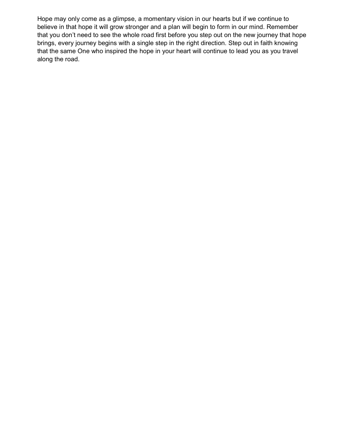Hope may only come as a glimpse, a momentary vision in our hearts but if we continue to believe in that hope it will grow stronger and a plan will begin to form in our mind. Remember that you don't need to see the whole road first before you step out on the new journey that hope brings, every journey begins with a single step in the right direction. Step out in faith knowing that the same One who inspired the hope in your heart will continue to lead you as you travel along the road.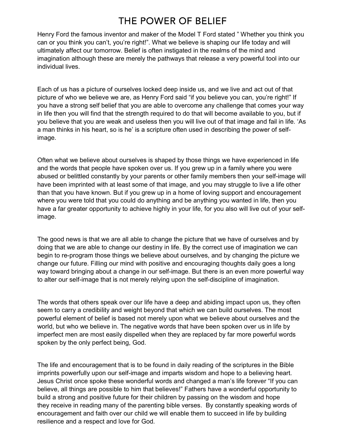# THE POWER OF BELIEF

Henry Ford the famous inventor and maker of the Model T Ford stated " Whether you think you can or you think you can't, you're right!". What we believe is shaping our life today and will ultimately affect our tomorrow. Belief is often instigated in the realms of the mind and imagination although these are merely the pathways that release a very powerful tool into our individual lives.

Each of us has a picture of ourselves locked deep inside us, and we live and act out of that picture of who we believe we are, as Henry Ford said "if you believe you can, you're right!" If you have a strong self belief that you are able to overcome any challenge that comes your way in life then you will find that the strength required to do that will become available to you, but if you believe that you are weak and useless then you will live out of that image and fail in life. 'As a man thinks in his heart, so is he' is a scripture often used in describing the power of selfimage.

Often what we believe about ourselves is shaped by those things we have experienced in life and the words that people have spoken over us. If you grew up in a family where you were abused or belittled constantly by your parents or other family members then your self-image will have been imprinted with at least some of that image, and you may struggle to live a life other than that you have known. But if you grew up in a home of loving support and encouragement where you were told that you could do anything and be anything you wanted in life, then you have a far greater opportunity to achieve highly in your life, for you also will live out of your selfimage.

The good news is that we are all able to change the picture that we have of ourselves and by doing that we are able to change our destiny in life. By the correct use of imagination we can begin to re-program those things we believe about ourselves, and by changing the picture we change our future. Filling our mind with positive and encouraging thoughts daily goes a long way toward bringing about a change in our self-image. But there is an even more powerful way to alter our self-image that is not merely relying upon the self-discipline of imagination.

The words that others speak over our life have a deep and abiding impact upon us, they often seem to carry a credibility and weight beyond that which we can build ourselves. The most powerful element of belief is based not merely upon what we believe about ourselves and the world, but who we believe in. The negative words that have been spoken over us in life by imperfect men are most easily dispelled when they are replaced by far more powerful words spoken by the only perfect being, God.

The life and encouragement that is to be found in daily reading of the scriptures in the Bible imprints powerfully upon our self-image and imparts wisdom and hope to a believing heart. Jesus Christ once spoke these wonderful words and changed a man's life forever "If you can believe, all things are possible to him that believes!" Fathers have a wonderful opportunity to build a strong and positive future for their children by passing on the wisdom and hope they receive in reading many of the parenting bible verses. By constantly speaking words of encouragement and faith over our child we will enable them to succeed in life by building resilience and a respect and love for God.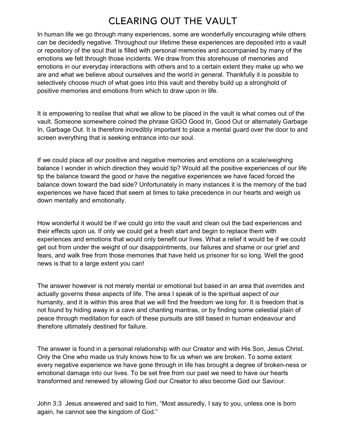## **CLEARING OUT THE VAULT**

In human life we go through many experiences, some are wonderfully encouraging while others can be decidedly negative. Throughout our lifetime these experiences are deposited into a vault or repository of the soul that is filled with personal memories and accompanied by many of the emotions we felt through those incidents. We draw from this storehouse of memories and emotions in our everyday interactions with others and to a certain extent they make up who we are and what we believe about ourselves and the world in general. Thankfully it is possible to selectively choose much of what goes into this vault and thereby build up a stronghold of positive memories and emotions from which to draw upon in life.

It is empowering to realise that what we allow to be placed in the vault is what comes out of the vault. Someone somewhere coined the phrase GIGO Good In, Good Out or alternately Garbage In, Garbage Out. It is therefore incredibly important to place a mental guard over the door to and screen everything that is seeking entrance into our soul.

If we could place all our positive and negative memories and emotions on a scale/weighing balance I wonder in which direction they would tip? Would all the positive experiences of our life tip the balance toward the good or have the negative experiences we have faced forced the balance down toward the bad side? Unfortunately in many instances it is the memory of the bad experiences we have faced that seem at times to take precedence in our hearts and weigh us down mentally and emotionally.

How wonderful it would be if we could go into the vault and clean out the bad experiences and their effects upon us. If only we could get a fresh start and begin to replace them with experiences and emotions that would only benefit our lives. What a relief it would be if we could get out from under the weight of our disappointments, our failures and shame or our grief and fears, and walk free from those memories that have held us prisoner for so long. Well the good news is that to a large extent you can!

The answer however is not merely mental or emotional but based in an area that overrides and actually governs these aspects of life. The area I speak of is the spiritual aspect of our humanity, and it is within this area that we will find the freedom we long for. It is freedom that is not found by hiding away in a cave and chanting mantras, or by finding some celestial plain of peace through meditation for each of these pursuits are still based in human endeavour and therefore ultimately destined for failure.

The answer is found in a personal relationship with our Creator and with His Son, Jesus Christ. Only the One who made us truly knows how to fix us when we are broken. To some extent every negative experience we have gone through in life has brought a degree of broken-ness or emotional damage into our lives. To be set free from our past we need to have our hearts transformed and renewed by allowing God our Creator to also become God our Saviour.

John 3:3 Jesus answered and said to him, "Most assuredly, I say to you, unless one is born again, he cannot see the kingdom of God."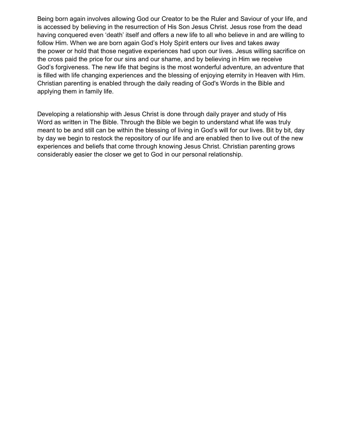Being born again involves allowing God our Creator to be the Ruler and Saviour of your life, and is accessed by believing in the resurrection of His Son Jesus Christ. Jesus rose from the dead having conquered even 'death' itself and offers a new life to all who believe in and are willing to follow Him. When we are born again God's Holy Spirit enters our lives and takes away the power or hold that those negative experiences had upon our lives. Jesus willing sacrifice on the cross paid the price for our sins and our shame, and by believing in Him we receive God's forgiveness. The new life that begins is the most wonderful adventure, an adventure that is filled with life changing experiences and the blessing of enjoying eternity in Heaven with Him. Christian parenting is enabled through the daily reading of God's Words in the Bible and applying them in family life.

Developing a relationship with Jesus Christ is done through daily prayer and study of His Word as written in The Bible. Through the Bible we begin to understand what life was truly meant to be and still can be within the blessing of living in God's will for our lives. Bit by bit, day by day we begin to restock the repository of our life and are enabled then to live out of the new experiences and beliefs that come through knowing Jesus Christ. Christian parenting grows considerably easier the closer we get to God in our personal relationship.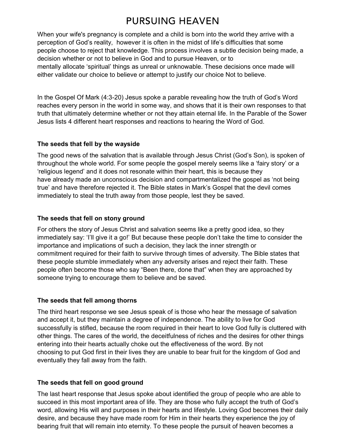# PURSUING HEAVEN

When your wife's pregnancy is complete and a child is born into the world they arrive with a perception of God's reality, however it is often in the midst of life's difficulties that some people choose to reject that knowledge. This process involves a subtle decision being made, a decision whether or not to believe in God and to pursue Heaven, or to mentally allocate 'spiritual' things as unreal or unknowable. These decisions once made will either validate our choice to believe or attempt to justify our choice Not to believe.

In the Gospel Of Mark (4:3-20) Jesus spoke a parable revealing how the truth of God's Word reaches every person in the world in some way, and shows that it is their own responses to that truth that ultimately determine whether or not they attain eternal life. In the Parable of the Sower Jesus lists 4 different heart responses and reactions to hearing the Word of God.

### The seeds that fell by the wayside

The good news of the salvation that is available through Jesus Christ (God's Son), is spoken of throughout the whole world. For some people the gospel merely seems like a 'fairy story' or a 'religious legend' and it does not resonate within their heart, this is because they have already made an unconscious decision and compartmentalized the gospel as 'not being true' and have therefore rejected it. The Bible states in Mark's Gospel that the devil comes immediately to steal the truth away from those people, lest they be saved.

## The seeds that fell on stony ground

For others the story of Jesus Christ and salvation seems like a pretty good idea, so they immediately say: 'I'll give it a go!' But because these people don't take the time to consider the importance and implications of such a decision, they lack the inner strength or commitment required for their faith to survive through times of adversity. The Bible states that these people stumble immediately when any adversity arises and reject their faith. These people often become those who say "Been there, done that" when they are approached by someone trying to encourage them to believe and be saved.

## The seeds that fell among thorns

The third heart response we see Jesus speak of is those who hear the message of salvation and accept it, but they maintain a degree of independence. The ability to live for God successfully is stifled, because the room required in their heart to love God fully is cluttered with other things. The cares of the world, the deceitfulness of riches and the desires for other things entering into their hearts actually choke out the effectiveness of the word. By not choosing to put God first in their lives they are unable to bear fruit for the kingdom of God and eventually they fall away from the faith.

## The seeds that fell on good ground

The last heart response that Jesus spoke about identified the group of people who are able to succeed in this most important area of life. They are those who fully accept the truth of God's word, allowing His will and purposes in their hearts and lifestyle. Loving God becomes their daily desire, and because they have made room for Him in their hearts they experience the joy of bearing fruit that will remain into eternity. To these people the pursuit of heaven becomes a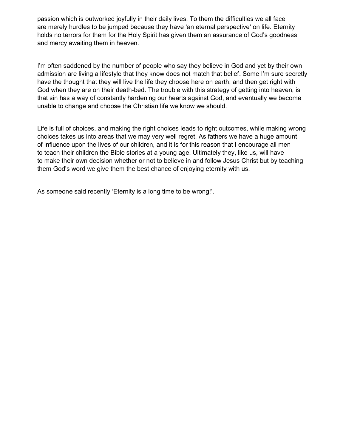passion which is outworked joyfully in their daily lives. To them the difficulties we all face are merely hurdles to be jumped because they have 'an eternal perspective' on life. Eternity holds no terrors for them for the Holy Spirit has given them an assurance of God's goodness and mercy awaiting them in heaven.

I'm often saddened by the number of people who say they believe in God and yet by their own admission are living a lifestyle that they know does not match that belief. Some I'm sure secretly have the thought that they will live the life they choose here on earth, and then get right with God when they are on their death-bed. The trouble with this strategy of getting into heaven, is that sin has a way of constantly hardening our hearts against God, and eventually we become unable to change and choose the Christian life we know we should.

Life is full of choices, and making the right choices leads to right outcomes, while making wrong choices takes us into areas that we may very well regret. As fathers we have a huge amount of influence upon the lives of our children, and it is for this reason that I encourage all men to teach their children the Bible stories at a young age. Ultimately they, like us, will have to make their own decision whether or not to believe in and follow Jesus Christ but by teaching them God's word we give them the best chance of enjoying eternity with us.

As someone said recently 'Eternity is a long time to be wrong!'.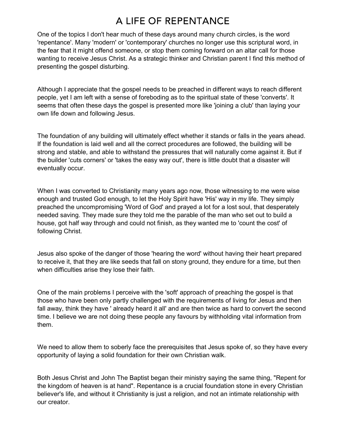## A LIFE OF REPENTANCE

One of the topics I don't hear much of these days around many church circles, is the word 'repentance'. Many 'modern' or 'contemporary' churches no longer use this scriptural word, in the fear that it might offend someone, or stop them coming forward on an altar call for those wanting to receive Jesus Christ. As a strategic thinker and Christian parent I find this method of presenting the gospel disturbing.

Although I appreciate that the gospel needs to be preached in different ways to reach different people, yet I am left with a sense of foreboding as to the spiritual state of these 'converts'. It seems that often these days the gospel is presented more like 'joining a club' than laying your own life down and following Jesus.

The foundation of any building will ultimately effect whether it stands or falls in the years ahead. If the foundation is laid well and all the correct procedures are followed, the building will be strong and stable, and able to withstand the pressures that will naturally come against it. But if the builder 'cuts corners' or 'takes the easy way out', there is little doubt that a disaster will eventually occur.

When I was converted to Christianity many years ago now, those witnessing to me were wise enough and trusted God enough, to let the Holy Spirit have 'His' way in my life. They simply preached the uncompromising 'Word of God' and prayed a lot for a lost soul, that desperately needed saving. They made sure they told me the parable of the man who set out to build a house, got half way through and could not finish, as they wanted me to 'count the cost' of following Christ.

Jesus also spoke of the danger of those 'hearing the word' without having their heart prepared to receive it, that they are like seeds that fall on stony ground, they endure for a time, but then when difficulties arise they lose their faith.

One of the main problems I perceive with the 'soft' approach of preaching the gospel is that those who have been only partly challenged with the requirements of living for Jesus and then fall away, think they have ' already heard it all' and are then twice as hard to convert the second time. I believe we are not doing these people any favours by withholding vital information from them.

We need to allow them to soberly face the prerequisites that Jesus spoke of, so they have every opportunity of laying a solid foundation for their own Christian walk.

Both Jesus Christ and John The Baptist began their ministry saying the same thing, "Repent for the kingdom of heaven is at hand". Repentance is a crucial foundation stone in every Christian believer's life, and without it Christianity is just a religion, and not an intimate relationship with our creator.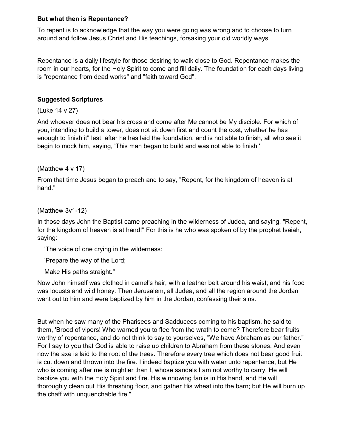#### But what then is Repentance?

To repent is to acknowledge that the way you were going was wrong and to choose to turn around and follow Jesus Christ and His teachings, forsaking your old worldly ways.

Repentance is a daily lifestyle for those desiring to walk close to God. Repentance makes the room in our hearts, for the Holy Spirit to come and fill daily. The foundation for each days living is "repentance from dead works" and "faith toward God".

#### Suggested Scriptures

(Luke 14 v 27)

And whoever does not bear his cross and come after Me cannot be My disciple. For which of you, intending to build a tower, does not sit down first and count the cost, whether he has enough to finish it" lest, after he has laid the foundation, and is not able to finish, all who see it begin to mock him, saying, 'This man began to build and was not able to finish.'

(Matthew 4 v 17)

From that time Jesus began to preach and to say, "Repent, for the kingdom of heaven is at hand."

(Matthew 3v1-12)

In those days John the Baptist came preaching in the wilderness of Judea, and saying, "Repent, for the kingdom of heaven is at hand!" For this is he who was spoken of by the prophet Isaiah, saying:

'The voice of one crying in the wilderness:

'Prepare the way of the Lord;

Make His paths straight."

Now John himself was clothed in camel's hair, with a leather belt around his waist; and his food was locusts and wild honey. Then Jerusalem, all Judea, and all the region around the Jordan went out to him and were baptized by him in the Jordan, confessing their sins.

But when he saw many of the Pharisees and Sadducees coming to his baptism, he said to them, 'Brood of vipers! Who warned you to flee from the wrath to come? Therefore bear fruits worthy of repentance, and do not think to say to yourselves, "We have Abraham as our father." For I say to you that God is able to raise up children to Abraham from these stones. And even now the axe is laid to the root of the trees. Therefore every tree which does not bear good fruit is cut down and thrown into the fire. I indeed baptize you with water unto repentance, but He who is coming after me is mightier than I, whose sandals I am not worthy to carry. He will baptize you with the Holy Spirit and fire. His winnowing fan is in His hand, and He will thoroughly clean out His threshing floor, and gather His wheat into the barn; but He will burn up the chaff with unquenchable fire."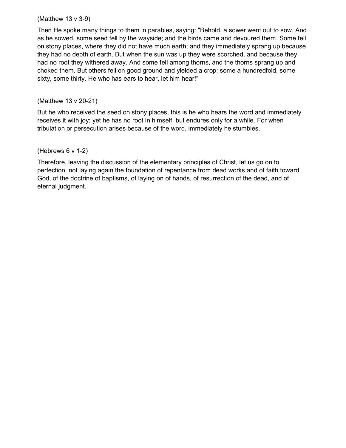### (Matthew 13 v 3-9)

Then He spoke many things to them in parables, saying: "Behold, a sower went out to sow. And as he sowed, some seed fell by the wayside; and the birds came and devoured them. Some fell on stony places, where they did not have much earth; and they immediately sprang up because they had no depth of earth. But when the sun was up they were scorched, and because they had no root they withered away. And some fell among thorns, and the thorns sprang up and choked them. But others fell on good ground and yielded a crop: some a hundredfold, some sixty, some thirty. He who has ears to hear, let him hear!"

## (Matthew 13 v 20-21)

But he who received the seed on stony places, this is he who hears the word and immediately receives it with joy; yet he has no root in himself, but endures only for a while. For when tribulation or persecution arises because of the word, immediately he stumbles.

### (Hebrews 6 v 1-2)

Therefore, leaving the discussion of the elementary principles of Christ, let us go on to perfection, not laying again the foundation of repentance from dead works and of faith toward God, of the doctrine of baptisms, of laying on of hands, of resurrection of the dead, and of eternal judgment.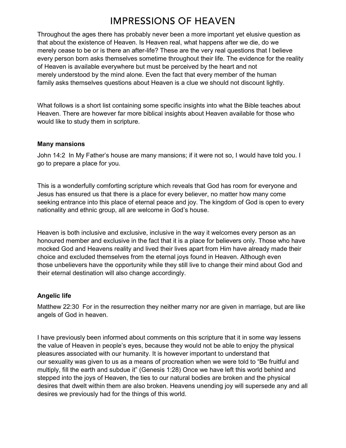## **IMPRESSIONS OF HEAVEN**

Throughout the ages there has probably never been a more important yet elusive question as that about the existence of Heaven. Is Heaven real, what happens after we die, do we merely cease to be or is there an after-life? These are the very real questions that I believe every person born asks themselves sometime throughout their life. The evidence for the reality of Heaven is available everywhere but must be perceived by the heart and not merely understood by the mind alone. Even the fact that every member of the human family asks themselves questions about Heaven is a clue we should not discount lightly.

What follows is a short list containing some specific insights into what the Bible teaches about Heaven. There are however far more biblical insights about Heaven available for those who would like to study them in scripture.

#### Many mansions

John 14:2 In My Father's house are many mansions; if it were not so, I would have told you. I go to prepare a place for you.

This is a wonderfully comforting scripture which reveals that God has room for everyone and Jesus has ensured us that there is a place for every believer, no matter how many come seeking entrance into this place of eternal peace and joy. The kingdom of God is open to every nationality and ethnic group, all are welcome in God's house.

Heaven is both inclusive and exclusive, inclusive in the way it welcomes every person as an honoured member and exclusive in the fact that it is a place for believers only. Those who have mocked God and Heavens reality and lived their lives apart from Him have already made their choice and excluded themselves from the eternal joys found in Heaven. Although even those unbelievers have the opportunity while they still live to change their mind about God and their eternal destination will also change accordingly.

#### Angelic life

Matthew 22:30 For in the resurrection they neither marry nor are given in marriage, but are like angels of God in heaven.

I have previously been informed about comments on this scripture that it in some way lessens the value of Heaven in people's eyes, because they would not be able to enjoy the physical pleasures associated with our humanity. It is however important to understand that our sexuality was given to us as a means of procreation when we were told to "Be fruitful and multiply, fill the earth and subdue it" (Genesis 1:28) Once we have left this world behind and stepped into the joys of Heaven, the ties to our natural bodies are broken and the physical desires that dwelt within them are also broken. Heavens unending joy will supersede any and all desires we previously had for the things of this world.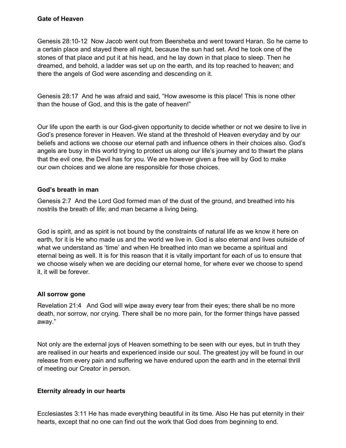Genesis 28:10-12 Now Jacob went out from Beersheba and went toward Haran. So he came to a certain place and stayed there all night, because the sun had set. And he took one of the stones of that place and put it at his head, and he lay down in that place to sleep. Then he dreamed, and behold, a ladder was set up on the earth, and its top reached to heaven; and there the angels of God were ascending and descending on it.

Genesis 28:17 And he was afraid and said, "How awesome is this place! This is none other than the house of God, and this is the gate of heaven!"

Our life upon the earth is our God-given opportunity to decide whether or not we desire to live in God's presence forever in Heaven. We stand at the threshold of Heaven everyday and by our beliefs and actions we choose our eternal path and influence others in their choices also. God's angels are busy in this world trying to protect us along our life's journey and to thwart the plans that the evil one, the Devil has for you. We are however given a free will by God to make our own choices and we alone are responsible for those choices.

#### God's breath in man

Genesis 2:7 And the Lord God formed man of the dust of the ground, and breathed into his nostrils the breath of life; and man became a living being.

God is spirit, and as spirit is not bound by the constraints of natural life as we know it here on earth, for it is He who made us and the world we live in. God is also eternal and lives outside of what we understand as 'time' and when He breathed into man we became a spiritual and eternal being as well. It is for this reason that it is vitally important for each of us to ensure that we choose wisely when we are deciding our eternal home, for where ever we choose to spend it, it will be forever.

### All sorrow gone

Revelation 21:4 And God will wipe away every tear from their eyes; there shall be no more death, nor sorrow, nor crying. There shall be no more pain, for the former things have passed away."

Not only are the external joys of Heaven something to be seen with our eyes, but in truth they are realised in our hearts and experienced inside our soul. The greatest joy will be found in our release from every pain and suffering we have endured upon the earth and in the eternal thrill of meeting our Creator in person.

### Eternity already in our hearts

Ecclesiastes 3:11 He has made everything beautiful in its time. Also He has put eternity in their hearts, except that no one can find out the work that God does from beginning to end.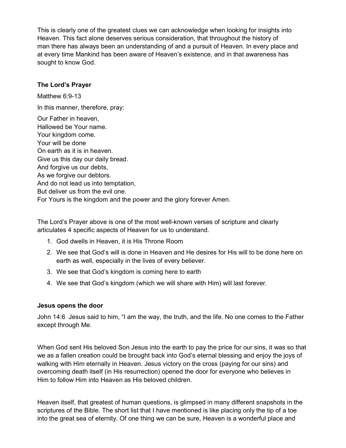This is clearly one of the greatest clues we can acknowledge when looking for insights into Heaven. This fact alone deserves serious consideration, that throughout the history of man there has always been an understanding of and a pursuit of Heaven. In every place and at every time Mankind has been aware of Heaven's existence, and in that awareness has sought to know God.

#### The Lord's Prayer

Matthew 6:9-13 In this manner, therefore, pray:

Our Father in heaven, Hallowed be Your name. Your kingdom come. Your will be done On earth as it is in heaven. Give us this day our daily bread. And forgive us our debts, As we forgive our debtors. And do not lead us into temptation, But deliver us from the evil one. For Yours is the kingdom and the power and the glory forever Amen.

The Lord's Prayer above is one of the most well-known verses of scripture and clearly articulates 4 specific aspects of Heaven for us to understand.

- 1. God dwells in Heaven, it is His Throne Room
- 2. We see that God's will is done in Heaven and He desires for His will to be done here on earth as well, especially in the lives of every believer.
- 3. We see that God's kingdom is coming here to earth
- 4. We see that God's kingdom (which we will share with Him) will last forever.

### Jesus opens the door

John 14:6 Jesus said to him, "I am the way, the truth, and the life. No one comes to the Father except through Me.

When God sent His beloved Son Jesus into the earth to pay the price for our sins, it was so that we as a fallen creation could be brought back into God's eternal blessing and enjoy the joys of walking with Him eternally in Heaven. Jesus victory on the cross (paying for our sins) and overcoming death itself (in His resurrection) opened the door for everyone who believes in Him to follow Him into Heaven as His beloved children.

Heaven itself, that greatest of human questions, is glimpsed in many different snapshots in the scriptures of the Bible. The short list that I have mentioned is like placing only the tip of a toe into the great sea of eternity. Of one thing we can be sure, Heaven is a wonderful place and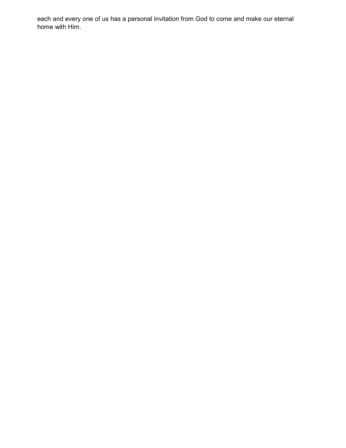each and every one of us has a personal invitation from God to come and make our eternal home with Him.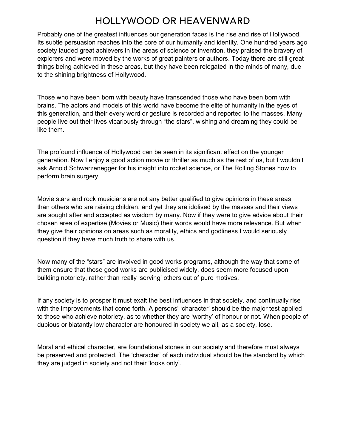## **HOLLYWOOD OR HEAVENWARD**

Probably one of the greatest influences our generation faces is the rise and rise of Hollywood. Its subtle persuasion reaches into the core of our humanity and identity. One hundred years ago society lauded great achievers in the areas of science or invention, they praised the bravery of explorers and were moved by the works of great painters or authors. Today there are still great things being achieved in these areas, but they have been relegated in the minds of many, due to the shining brightness of Hollywood.

Those who have been born with beauty have transcended those who have been born with brains. The actors and models of this world have become the elite of humanity in the eyes of this generation, and their every word or gesture is recorded and reported to the masses. Many people live out their lives vicariously through "the stars", wishing and dreaming they could be like them.

The profound influence of Hollywood can be seen in its significant effect on the younger generation. Now I enjoy a good action movie or thriller as much as the rest of us, but I wouldn't ask Arnold Schwarzenegger for his insight into rocket science, or The Rolling Stones how to perform brain surgery.

Movie stars and rock musicians are not any better qualified to give opinions in these areas than others who are raising children, and yet they are idolised by the masses and their views are sought after and accepted as wisdom by many. Now if they were to give advice about their chosen area of expertise (Movies or Music) their words would have more relevance. But when they give their opinions on areas such as morality, ethics and godliness I would seriously question if they have much truth to share with us.

Now many of the "stars" are involved in good works programs, although the way that some of them ensure that those good works are publicised widely, does seem more focused upon building notoriety, rather than really 'serving' others out of pure motives.

If any society is to prosper it must exalt the best influences in that society, and continually rise with the improvements that come forth. A persons' 'character' should be the major test applied to those who achieve notoriety, as to whether they are 'worthy' of honour or not. When people of dubious or blatantly low character are honoured in society we all, as a society, lose.

Moral and ethical character, are foundational stones in our society and therefore must always be preserved and protected. The 'character' of each individual should be the standard by which they are judged in society and not their 'looks only'.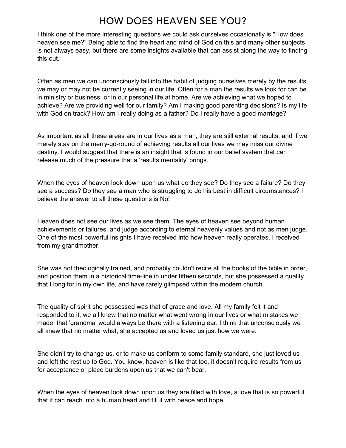## **HOW DOES HEAVEN SEE YOU?**

I think one of the more interesting questions we could ask ourselves occasionally is "How does heaven see me?" Being able to find the heart and mind of God on this and many other subjects is not always easy, but there are some insights available that can assist along the way to finding this out.

Often as men we can unconsciously fall into the habit of judging ourselves merely by the results we may or may not be currently seeing in our life. Often for a man the results we look for can be in ministry or business, or in our personal life at home. Are we achieving what we hoped to achieve? Are we providing well for our family? Am I making good parenting decisions? Is my life with God on track? How am I really doing as a father? Do I really have a good marriage?

As important as all these areas are in our lives as a man, they are still external results, and if we merely stay on the merry-go-round of achieving results all our lives we may miss our divine destiny. I would suggest that there is an insight that is found in our belief system that can release much of the pressure that a 'results mentality' brings.

When the eyes of heaven look down upon us what do they see? Do they see a failure? Do they see a success? Do they see a man who is struggling to do his best in difficult circumstances? I believe the answer to all these questions is No!

Heaven does not see our lives as we see them. The eyes of heaven see beyond human achievements or failures, and judge according to eternal heavenly values and not as men judge. One of the most powerful insights I have received into how heaven really operates, I received from my grandmother.

She was not theologically trained, and probably couldn't recite all the books of the bible in order, and position them in a historical time-line in under fifteen seconds, but she possessed a quality that I long for in my own life, and have rarely glimpsed within the modern church.

The quality of spirit she possessed was that of grace and love. All my family felt it and responded to it, we all knew that no matter what went wrong in our lives or what mistakes we made, that 'grandma' would always be there with a listening ear. I think that unconsciously we all knew that no matter what, she accepted us and loved us just how we were.

She didn't try to change us, or to make us conform to some family standard, she just loved us and left the rest up to God. You know, heaven is like that too, it doesn't require results from us for acceptance or place burdens upon us that we can't bear.

When the eyes of heaven look down upon us they are filled with love, a love that is so powerful that it can reach into a human heart and fill it with peace and hope.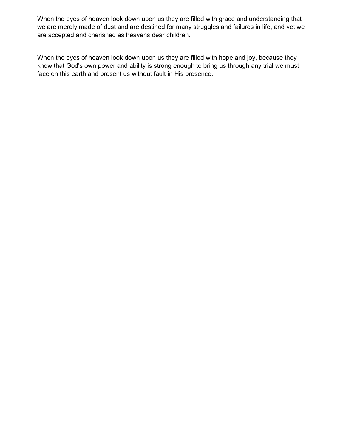When the eyes of heaven look down upon us they are filled with grace and understanding that we are merely made of dust and are destined for many struggles and failures in life, and yet we are accepted and cherished as heavens dear children.

When the eyes of heaven look down upon us they are filled with hope and joy, because they know that God's own power and ability is strong enough to bring us through any trial we must face on this earth and present us without fault in His presence.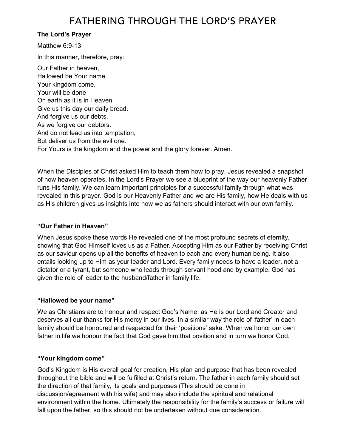### The Lord's Prayer

Matthew 6:9-13 In this manner, therefore, pray: Our Father in heaven, Hallowed be Your name. Your kingdom come. Your will be done On earth as it is in Heaven. Give us this day our daily bread. And forgive us our debts, As we forgive our debtors. And do not lead us into temptation, But deliver us from the evil one. For Yours is the kingdom and the power and the glory forever. Amen.

When the Disciples of Christ asked Him to teach them how to pray, Jesus revealed a snapshot of how heaven operates. In the Lord's Prayer we see a blueprint of the way our heavenly Father runs His family. We can learn important principles for a successful family through what was revealed in this prayer. God is our Heavenly Father and we are His family, how He deals with us as His children gives us insights into how we as fathers should interact with our own family.

### "Our Father in Heaven"

When Jesus spoke these words He revealed one of the most profound secrets of eternity, showing that God Himself loves us as a Father. Accepting Him as our Father by receiving Christ as our saviour opens up all the benefits of heaven to each and every human being. It also entails looking up to Him as your leader and Lord. Every family needs to have a leader, not a dictator or a tyrant, but someone who leads through servant hood and by example. God has given the role of leader to the husband/father in family life.

### "Hallowed be your name"

We as Christians are to honour and respect God's Name, as He is our Lord and Creator and deserves all our thanks for His mercy in our lives. In a similar way the role of 'father' in each family should be honoured and respected for their 'positions' sake. When we honor our own father in life we honour the fact that God gave him that position and in turn we honor God.

### "Your kingdom come"

God's Kingdom is His overall goal for creation, His plan and purpose that has been revealed throughout the bible and will be fulfilled at Christ's return. The father in each family should set the direction of that family, its goals and purposes (This should be done in discussion/agreement with his wife) and may also include the spiritual and relational environment within the home. Ultimately the responsibility for the family's success or failure will fall upon the father, so this should not be undertaken without due consideration.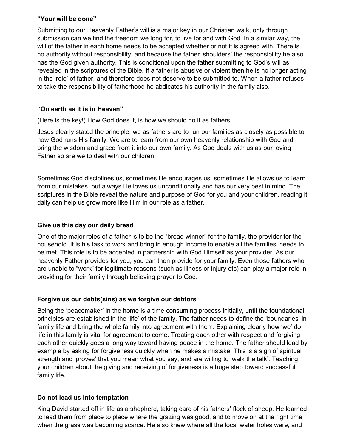#### "Your will be done"

Submitting to our Heavenly Father's will is a major key in our Christian walk, only through submission can we find the freedom we long for, to live for and with God. In a similar way, the will of the father in each home needs to be accepted whether or not it is agreed with. There is no authority without responsibility, and because the father 'shoulders' the responsibility he also has the God given authority. This is conditional upon the father submitting to God's will as revealed in the scriptures of the Bible. If a father is abusive or violent then he is no longer acting in the 'role' of father, and therefore does not deserve to be submitted to. When a father refuses to take the responsibility of fatherhood he abdicates his authority in the family also.

## "On earth as it is in Heaven"

(Here is the key!) How God does it, is how we should do it as fathers!

Jesus clearly stated the principle, we as fathers are to run our families as closely as possible to how God runs His family. We are to learn from our own heavenly relationship with God and bring the wisdom and grace from it into our own family. As God deals with us as our loving Father so are we to deal with our children.

Sometimes God disciplines us, sometimes He encourages us, sometimes He allows us to learn from our mistakes, but always He loves us unconditionally and has our very best in mind. The scriptures in the Bible reveal the nature and purpose of God for you and your children, reading it daily can help us grow more like Him in our role as a father.

### Give us this day our daily bread

One of the major roles of a father is to be the "bread winner" for the family, the provider for the household. It is his task to work and bring in enough income to enable all the families' needs to be met. This role is to be accepted in partnership with God Himself as your provider. As our heavenly Father provides for you, you can then provide for your family. Even those fathers who are unable to "work" for legitimate reasons (such as illness or injury etc) can play a major role in providing for their family through believing prayer to God.

### Forgive us our debts(sins) as we forgive our debtors

Being the 'peacemaker' in the home is a time consuming process initially, until the foundational principles are established in the 'life' of the family. The father needs to define the 'boundaries' in family life and bring the whole family into agreement with them. Explaining clearly how 'we' do life in this family is vital for agreement to come. Treating each other with respect and forgiving each other quickly goes a long way toward having peace in the home. The father should lead by example by asking for forgiveness quickly when he makes a mistake. This is a sign of spiritual strength and 'proves' that you mean what you say, and are willing to 'walk the talk'. Teaching your children about the giving and receiving of forgiveness is a huge step toward successful family life.

### Do not lead us into temptation

King David started off in life as a shepherd, taking care of his fathers' flock of sheep. He learned to lead them from place to place where the grazing was good, and to move on at the right time when the grass was becoming scarce. He also knew where all the local water holes were, and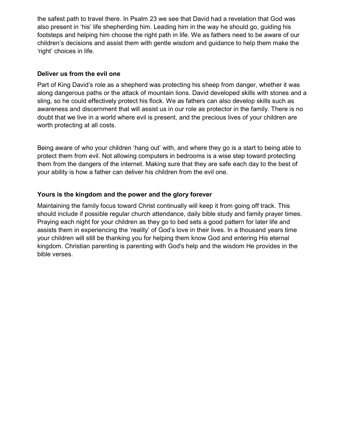the safest path to travel there. In Psalm 23 we see that David had a revelation that God was also present in 'his' life shepherding him. Leading him in the way he should go, guiding his footsteps and helping him choose the right path in life. We as fathers need to be aware of our children's decisions and assist them with gentle wisdom and guidance to help them make the 'right' choices in life.

#### Deliver us from the evil one

Part of King David's role as a shepherd was protecting his sheep from danger, whether it was along dangerous paths or the attack of mountain lions. David developed skills with stones and a sling, so he could effectively protect his flock. We as fathers can also develop skills such as awareness and discernment that will assist us in our role as protector in the family. There is no doubt that we live in a world where evil is present, and the precious lives of your children are worth protecting at all costs.

Being aware of who your children 'hang out' with, and where they go is a start to being able to protect them from evil. Not allowing computers in bedrooms is a wise step toward protecting them from the dangers of the internet. Making sure that they are safe each day to the best of your ability is how a father can deliver his children from the evil one.

### Yours is the kingdom and the power and the glory forever

Maintaining the family focus toward Christ continually will keep it from going off track. This should include if possible regular church attendance, daily bible study and family prayer times. Praying each night for your children as they go to bed sets a good pattern for later life and assists them in experiencing the 'reality' of God's love in their lives. In a thousand years time your children will still be thanking you for helping them know God and entering His eternal kingdom. Christian parenting is parenting with God's help and the wisdom He provides in the bible verses.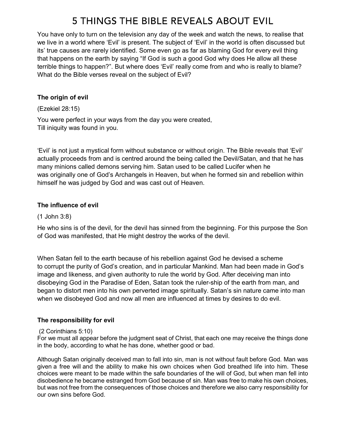# 5 THINGS THE BIBLE REVEALS ABOUT EVIL

You have only to turn on the television any day of the week and watch the news, to realise that we live in a world where 'Evil' is present. The subject of 'Evil' in the world is often discussed but its' true causes are rarely identified. Some even go as far as blaming God for every evil thing that happens on the earth by saying "If God is such a good God why does He allow all these terrible things to happen?". But where does 'Evil' really come from and who is really to blame? What do the Bible verses reveal on the subject of Evil?

### The origin of evil

(Ezekiel 28:15)

You were perfect in your ways from the day you were created, Till iniquity was found in you.

'Evil' is not just a mystical form without substance or without origin. The Bible reveals that 'Evil' actually proceeds from and is centred around the being called the Devil/Satan, and that he has many minions called demons serving him. Satan used to be called Lucifer when he was originally one of God's Archangels in Heaven, but when he formed sin and rebellion within himself he was judged by God and was cast out of Heaven.

## The influence of evil

### (1 John 3:8)

He who sins is of the devil, for the devil has sinned from the beginning. For this purpose the Son of God was manifested, that He might destroy the works of the devil.

When Satan fell to the earth because of his rebellion against God he devised a scheme to corrupt the purity of God's creation, and in particular Mankind. Man had been made in God's image and likeness, and given authority to rule the world by God. After deceiving man into disobeying God in the Paradise of Eden, Satan took the ruler-ship of the earth from man, and began to distort men into his own perverted image spiritually. Satan's sin nature came into man when we disobeyed God and now all men are influenced at times by desires to do evil.

### The responsibility for evil

### (2 Corinthians 5:10)

For we must all appear before the judgment seat of Christ, that each one may receive the things done in the body, according to what he has done, whether good or bad.

Although Satan originally deceived man to fall into sin, man is not without fault before God. Man was given a free will and the ability to make his own choices when God breathed life into him. These choices were meant to be made within the safe boundaries of the will of God, but when man fell into disobedience he became estranged from God because of sin. Man was free to make his own choices, but was not free from the consequences of those choices and therefore we also carry responsibility for our own sins before God.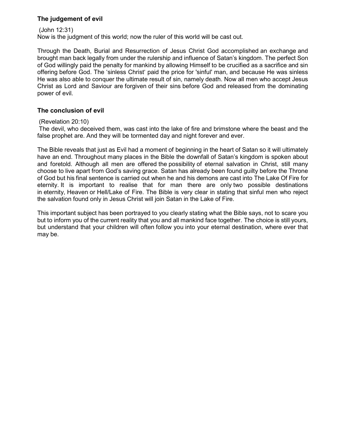#### The judgement of evil

 (John 12:31) Now is the judgment of this world; now the ruler of this world will be cast out.

Through the Death, Burial and Resurrection of Jesus Christ God accomplished an exchange and brought man back legally from under the rulership and influence of Satan's kingdom. The perfect Son of God willingly paid the penalty for mankind by allowing Himself to be crucified as a sacrifice and sin offering before God. The 'sinless Christ' paid the price for 'sinful' man, and because He was sinless He was also able to conquer the ultimate result of sin, namely death. Now all men who accept Jesus Christ as Lord and Saviour are forgiven of their sins before God and released from the dominating power of evil.

#### The conclusion of evil

#### (Revelation 20:10)

 The devil, who deceived them, was cast into the lake of fire and brimstone where the beast and the false prophet are. And they will be tormented day and night forever and ever.

The Bible reveals that just as Evil had a moment of beginning in the heart of Satan so it will ultimately have an end. Throughout many places in the Bible the downfall of Satan's kingdom is spoken about and foretold. Although all men are offered the possibility of eternal salvation in Christ, still many choose to live apart from God's saving grace. Satan has already been found guilty before the Throne of God but his final sentence is carried out when he and his demons are cast into The Lake Of Fire for eternity. It is important to realise that for man there are only two possible destinations in eternity, Heaven or Hell/Lake of Fire. The Bible is very clear in stating that sinful men who reject the salvation found only in Jesus Christ will join Satan in the Lake of Fire.

This important subject has been portrayed to you clearly stating what the Bible says, not to scare you but to inform you of the current reality that you and all mankind face together. The choice is still yours, but understand that your children will often follow you into your eternal destination, where ever that may be.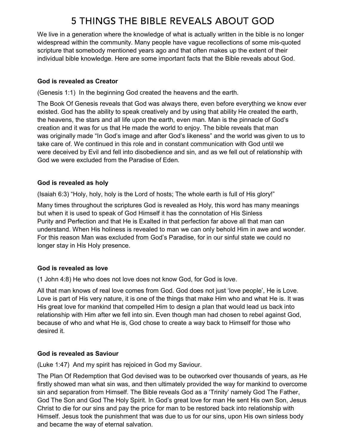# 5 THINGS THE BIBLE REVEALS ABOUT GOD

We live in a generation where the knowledge of what is actually written in the bible is no longer widespread within the community. Many people have vague recollections of some mis-quoted scripture that somebody mentioned years ago and that often makes up the extent of their individual bible knowledge. Here are some important facts that the Bible reveals about God.

## God is revealed as Creator

(Genesis 1:1) In the beginning God created the heavens and the earth.

The Book Of Genesis reveals that God was always there, even before everything we know ever existed. God has the ability to speak creatively and by using that ability He created the earth, the heavens, the stars and all life upon the earth, even man. Man is the pinnacle of God's creation and it was for us that He made the world to enjoy. The bible reveals that man was originally made "In God's image and after God's likeness" and the world was given to us to take care of. We continued in this role and in constant communication with God until we were deceived by Evil and fell into disobedience and sin, and as we fell out of relationship with God we were excluded from the Paradise of Eden.

### God is revealed as holy

(Isaiah 6:3) "Holy, holy, holy is the Lord of hosts; The whole earth is full of His glory!"

Many times throughout the scriptures God is revealed as Holy, this word has many meanings but when it is used to speak of God Himself it has the connotation of His Sinless Purity and Perfection and that He is Exalted in that perfection far above all that man can understand. When His holiness is revealed to man we can only behold Him in awe and wonder. For this reason Man was excluded from God's Paradise, for in our sinful state we could no longer stay in His Holy presence.

## God is revealed as love

(1 John 4:8) He who does not love does not know God, for God is love.

All that man knows of real love comes from God. God does not just 'love people', He is Love. Love is part of His very nature, it is one of the things that make Him who and what He is. It was His great love for mankind that compelled Him to design a plan that would lead us back into relationship with Him after we fell into sin. Even though man had chosen to rebel against God, because of who and what He is, God chose to create a way back to Himself for those who desired it.

## God is revealed as Saviour

(Luke 1:47) And my spirit has rejoiced in God my Saviour.

The Plan Of Redemption that God devised was to be outworked over thousands of years, as He firstly showed man what sin was, and then ultimately provided the way for mankind to overcome sin and separation from Himself. The Bible reveals God as a 'Trinity' namely God The Father, God The Son and God The Holy Spirit. In God's great love for man He sent His own Son, Jesus Christ to die for our sins and pay the price for man to be restored back into relationship with Himself. Jesus took the punishment that was due to us for our sins, upon His own sinless body and became the way of eternal salvation.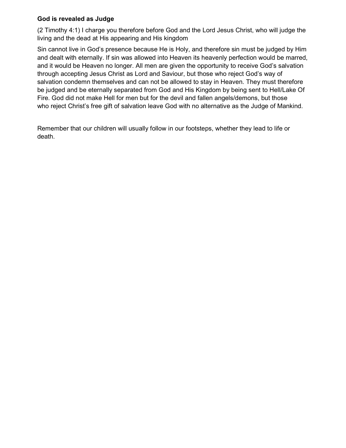### God is revealed as Judge

(2 Timothy 4:1) I charge you therefore before God and the Lord Jesus Christ, who will judge the living and the dead at His appearing and His kingdom

Sin cannot live in God's presence because He is Holy, and therefore sin must be judged by Him and dealt with eternally. If sin was allowed into Heaven its heavenly perfection would be marred, and it would be Heaven no longer. All men are given the opportunity to receive God's salvation through accepting Jesus Christ as Lord and Saviour, but those who reject God's way of salvation condemn themselves and can not be allowed to stay in Heaven. They must therefore be judged and be eternally separated from God and His Kingdom by being sent to Hell/Lake Of Fire. God did not make Hell for men but for the devil and fallen angels/demons, but those who reject Christ's free gift of salvation leave God with no alternative as the Judge of Mankind.

Remember that our children will usually follow in our footsteps, whether they lead to life or death.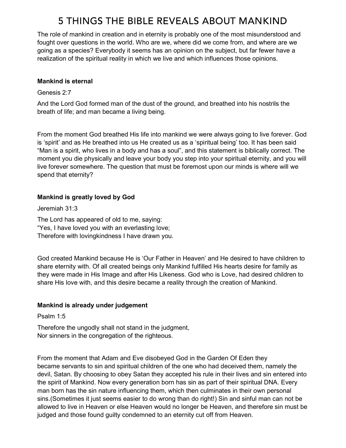## 5 THINGS THE BIBLE REVEALS ABOUT MANKIND

The role of mankind in creation and in eternity is probably one of the most misunderstood and fought over questions in the world. Who are we, where did we come from, and where are we going as a species? Everybody it seems has an opinion on the subject, but far fewer have a realization of the spiritual reality in which we live and which influences those opinions.

#### Mankind is eternal

Genesis 2:7

And the Lord God formed man of the dust of the ground, and breathed into his nostrils the breath of life; and man became a living being.

From the moment God breathed His life into mankind we were always going to live forever. God is 'spirit' and as He breathed into us He created us as a 'spiritual being' too. It has been said "Man is a spirit, who lives in a body and has a soul", and this statement is biblically correct. The moment you die physically and leave your body you step into your spiritual eternity, and you will live forever somewhere. The question that must be foremost upon our minds is where will we spend that eternity?

### Mankind is greatly loved by God

Jeremiah 31:3

The Lord has appeared of old to me, saying: "Yes, I have loved you with an everlasting love; Therefore with lovingkindness I have drawn you.

God created Mankind because He is 'Our Father in Heaven' and He desired to have children to share eternity with. Of all created beings only Mankind fulfilled His hearts desire for family as they were made in His Image and after His Likeness. God who is Love, had desired children to share His love with, and this desire became a reality through the creation of Mankind.

### Mankind is already under judgement

Psalm 1:5

Therefore the ungodly shall not stand in the judgment, Nor sinners in the congregation of the righteous.

From the moment that Adam and Eve disobeyed God in the Garden Of Eden they became servants to sin and spiritual children of the one who had deceived them, namely the devil, Satan. By choosing to obey Satan they accepted his rule in their lives and sin entered into the spirit of Mankind. Now every generation born has sin as part of their spiritual DNA. Every man born has the sin nature influencing them, which then culminates in their own personal sins.(Sometimes it just seems easier to do wrong than do right!) Sin and sinful man can not be allowed to live in Heaven or else Heaven would no longer be Heaven, and therefore sin must be judged and those found guilty condemned to an eternity cut off from Heaven.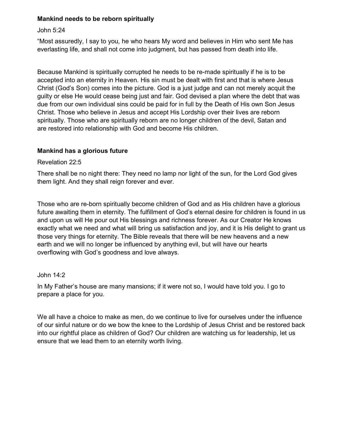#### Mankind needs to be reborn spiritually

#### John 5:24

"Most assuredly, I say to you, he who hears My word and believes in Him who sent Me has everlasting life, and shall not come into judgment, but has passed from death into life.

Because Mankind is spiritually corrupted he needs to be re-made spiritually if he is to be accepted into an eternity in Heaven. His sin must be dealt with first and that is where Jesus Christ (God's Son) comes into the picture. God is a just judge and can not merely acquit the guilty or else He would cease being just and fair. God devised a plan where the debt that was due from our own individual sins could be paid for in full by the Death of His own Son Jesus Christ. Those who believe in Jesus and accept His Lordship over their lives are reborn spiritually. Those who are spiritually reborn are no longer children of the devil, Satan and are restored into relationship with God and become His children.

### Mankind has a glorious future

#### Revelation 22:5

There shall be no night there: They need no lamp nor light of the sun, for the Lord God gives them light. And they shall reign forever and ever.

Those who are re-born spiritually become children of God and as His children have a glorious future awaiting them in eternity. The fulfillment of God's eternal desire for children is found in us and upon us will He pour out His blessings and richness forever. As our Creator He knows exactly what we need and what will bring us satisfaction and joy, and it is His delight to grant us those very things for eternity. The Bible reveals that there will be new heavens and a new earth and we will no longer be influenced by anything evil, but will have our hearts overflowing with God's goodness and love always.

### John 14:2

In My Father's house are many mansions; if it were not so, I would have told you. I go to prepare a place for you.

We all have a choice to make as men, do we continue to live for ourselves under the influence of our sinful nature or do we bow the knee to the Lordship of Jesus Christ and be restored back into our rightful place as children of God? Our children are watching us for leadership, let us ensure that we lead them to an eternity worth living.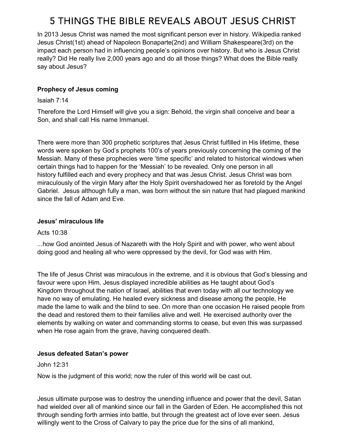# 5 THINGS THE BIBLE REVEALS ABOUT JESUS CHRIST

In 2013 Jesus Christ was named the most significant person ever in history. Wikipedia ranked Jesus Christ(1st) ahead of Napoleon Bonaparte(2nd) and William Shakespeare(3rd) on the impact each person had in influencing people's opinions over history. But who is Jesus Christ really? Did He really live 2,000 years ago and do all those things? What does the Bible really say about Jesus?

## Prophecy of Jesus coming

#### Isaiah 7:14

Therefore the Lord Himself will give you a sign: Behold, the virgin shall conceive and bear a Son, and shall call His name Immanuel.

There were more than 300 prophetic scriptures that Jesus Christ fulfilled in His lifetime, these words were spoken by God's prophets 100's of years previously concerning the coming of the Messiah. Many of these prophecies were 'time specific' and related to historical windows when certain things had to happen for the 'Messiah' to be revealed. Only one person in all history fulfilled each and every prophecy and that was Jesus Christ. Jesus Christ was born miraculously of the virgin Mary after the Holy Spirit overshadowed her as foretold by the Angel Gabriel. Jesus although fully a man, was born without the sin nature that had plagued mankind since the fall of Adam and Eve.

#### Jesus' miraculous life

### Acts 10:38

...how God anointed Jesus of Nazareth with the Holy Spirit and with power, who went about doing good and healing all who were oppressed by the devil, for God was with Him.

The life of Jesus Christ was miraculous in the extreme, and it is obvious that God's blessing and favour were upon Him. Jesus displayed incredible abilities as He taught about God's Kingdom throughout the nation of Israel, abilities that even today with all our technology we have no way of emulating. He healed every sickness and disease among the people, He made the lame to walk and the blind to see. On more than one occasion He raised people from the dead and restored them to their families alive and well. He exercised authority over the elements by walking on water and commanding storms to cease, but even this was surpassed when He rose again from the grave, having conquered death.

### Jesus defeated Satan's power

### John 12:31

Now is the judgment of this world; now the ruler of this world will be cast out.

Jesus ultimate purpose was to destroy the unending influence and power that the devil, Satan had wielded over all of mankind since our fall in the Garden of Eden. He accomplished this not through sending forth armies into battle, but through the greatest act of love ever seen. Jesus willingly went to the Cross of Calvary to pay the price due for the sins of all mankind,